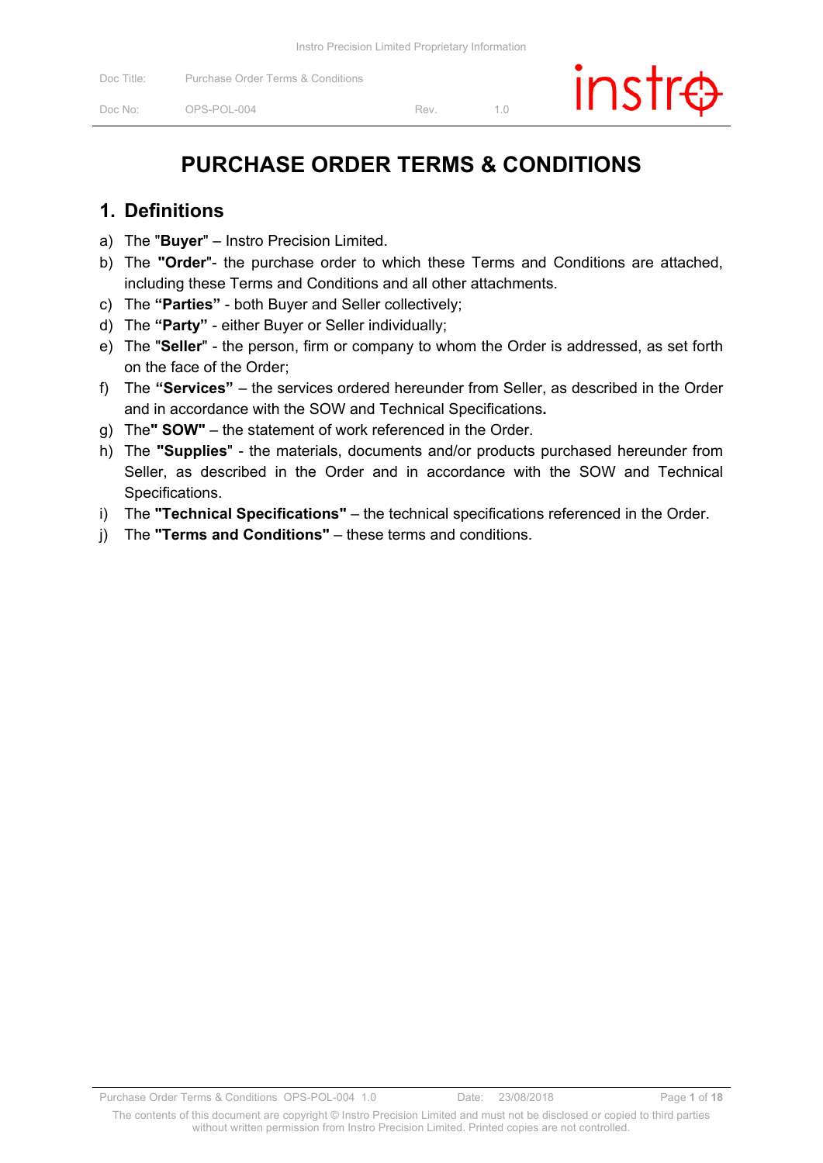# **PURCHASE ORDER TERMS & CONDITIONS**

#### **1. Definitions**

- a) The "**Buyer**" Instro Precision Limited.
- b) The **"Order**"- the purchase order to which these Terms and Conditions are attached, including these Terms and Conditions and all other attachments.
- c) The **"Parties"** both Buyer and Seller collectively;
- d) The **"Party"** either Buyer or Seller individually;
- e) The "**Seller**" the person, firm or company to whom the Order is addressed, as set forth on the face of the Order;
- f) The **"Services"**  the services ordered hereunder from Seller, as described in the Order and in accordance with the SOW and Technical Specifications**.**
- g) The**" SOW"**  the statement of work referenced in the Order.
- h) The **"Supplies**" the materials, documents and/or products purchased hereunder from Seller, as described in the Order and in accordance with the SOW and Technical Specifications.
- i) The **"Technical Specifications"**  the technical specifications referenced in the Order.
- j) The **"Terms and Conditions"** these terms and conditions.

The contents of this document are copyright © Instro Precision Limited and must not be disclosed or copied to third parties without written permission from Instro Precision Limited. Printed copies are not controlled.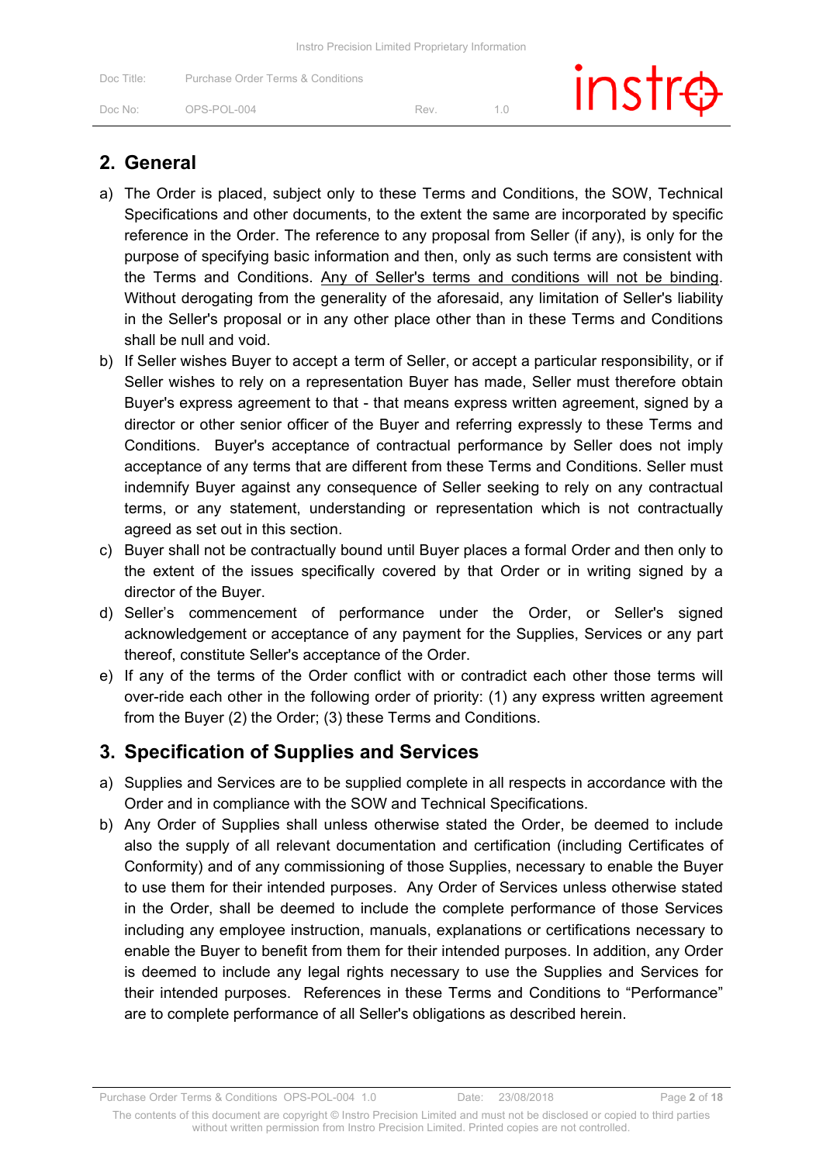| Instro Precision Limited Proprietary Information |  |
|--------------------------------------------------|--|
|--------------------------------------------------|--|

| Doc Title: | Purchase Order Terms & Conditions |     | $instr\oplus$ |
|------------|-----------------------------------|-----|---------------|
| Doc No:    | OPS-POL-004                       | Rev |               |

#### **2. General**

- a) The Order is placed, subject only to these Terms and Conditions, the SOW, Technical Specifications and other documents, to the extent the same are incorporated by specific reference in the Order. The reference to any proposal from Seller (if any), is only for the purpose of specifying basic information and then, only as such terms are consistent with the Terms and Conditions. Any of Seller's terms and conditions will not be binding. Without derogating from the generality of the aforesaid, any limitation of Seller's liability in the Seller's proposal or in any other place other than in these Terms and Conditions shall be null and void.
- b) If Seller wishes Buyer to accept a term of Seller, or accept a particular responsibility, or if Seller wishes to rely on a representation Buyer has made, Seller must therefore obtain Buyer's express agreement to that - that means express written agreement, signed by a director or other senior officer of the Buyer and referring expressly to these Terms and Conditions. Buyer's acceptance of contractual performance by Seller does not imply acceptance of any terms that are different from these Terms and Conditions. Seller must indemnify Buyer against any consequence of Seller seeking to rely on any contractual terms, or any statement, understanding or representation which is not contractually agreed as set out in this section.
- c) Buyer shall not be contractually bound until Buyer places a formal Order and then only to the extent of the issues specifically covered by that Order or in writing signed by a director of the Buyer.
- d) Seller's commencement of performance under the Order, or Seller's signed acknowledgement or acceptance of any payment for the Supplies, Services or any part thereof, constitute Seller's acceptance of the Order.
- e) If any of the terms of the Order conflict with or contradict each other those terms will over-ride each other in the following order of priority: (1) any express written agreement from the Buyer (2) the Order; (3) these Terms and Conditions.

### **3. Specification of Supplies and Services**

- a) Supplies and Services are to be supplied complete in all respects in accordance with the Order and in compliance with the SOW and Technical Specifications.
- b) Any Order of Supplies shall unless otherwise stated the Order, be deemed to include also the supply of all relevant documentation and certification (including Certificates of Conformity) and of any commissioning of those Supplies, necessary to enable the Buyer to use them for their intended purposes. Any Order of Services unless otherwise stated in the Order, shall be deemed to include the complete performance of those Services including any employee instruction, manuals, explanations or certifications necessary to enable the Buyer to benefit from them for their intended purposes. In addition, any Order is deemed to include any legal rights necessary to use the Supplies and Services for their intended purposes. References in these Terms and Conditions to "Performance" are to complete performance of all Seller's obligations as described herein.

Purchase Order Terms & Conditions OPS-POL-004 1.0 Date: 23/08/2018 Page **2** of **18**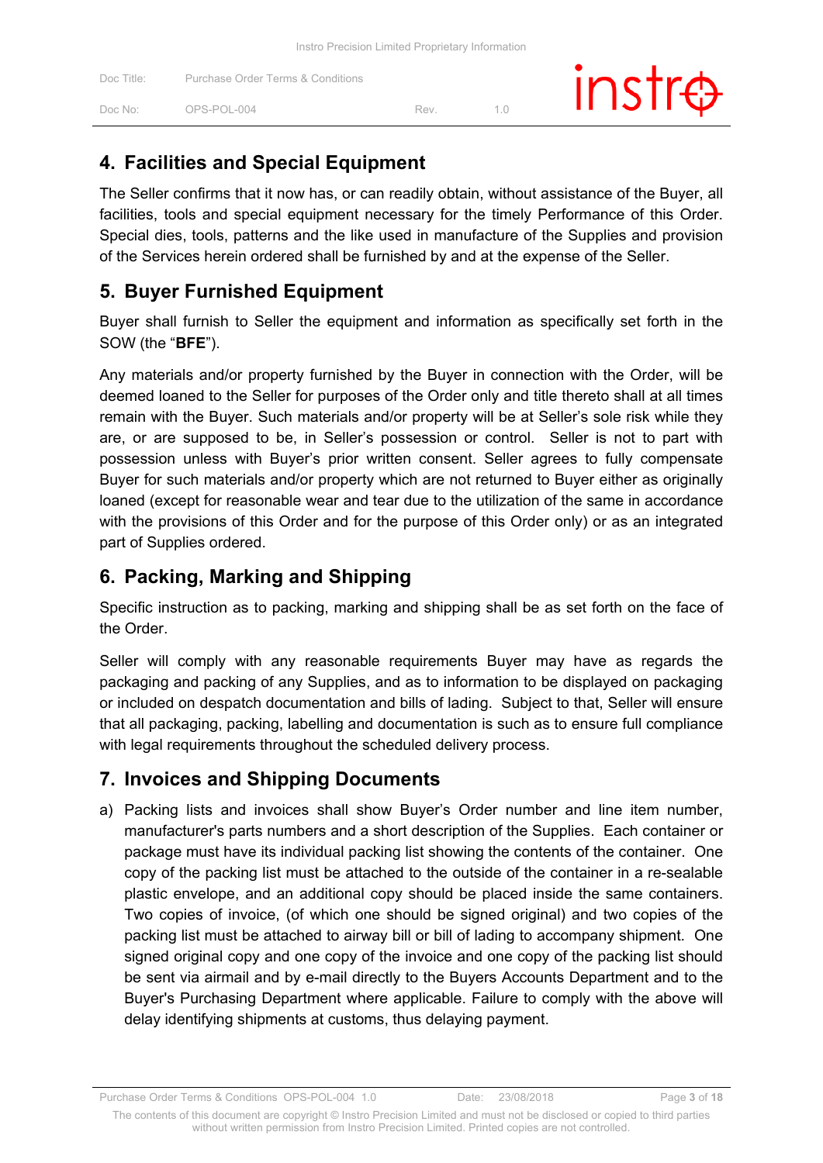| Doc Title: | Purchase Order Terms & Conditions |     | $inst\oplus$ |  |
|------------|-----------------------------------|-----|--------------|--|
| Doc No:    | OPS-POL-004                       | Rev |              |  |

### **4. Facilities and Special Equipment**

The Seller confirms that it now has, or can readily obtain, without assistance of the Buyer, all facilities, tools and special equipment necessary for the timely Performance of this Order. Special dies, tools, patterns and the like used in manufacture of the Supplies and provision of the Services herein ordered shall be furnished by and at the expense of the Seller.

### **5. Buyer Furnished Equipment**

Buyer shall furnish to Seller the equipment and information as specifically set forth in the SOW (the "**BFE**").

Any materials and/or property furnished by the Buyer in connection with the Order, will be deemed loaned to the Seller for purposes of the Order only and title thereto shall at all times remain with the Buyer. Such materials and/or property will be at Seller's sole risk while they are, or are supposed to be, in Seller's possession or control. Seller is not to part with possession unless with Buyer's prior written consent. Seller agrees to fully compensate Buyer for such materials and/or property which are not returned to Buyer either as originally loaned (except for reasonable wear and tear due to the utilization of the same in accordance with the provisions of this Order and for the purpose of this Order only) or as an integrated part of Supplies ordered.

### **6. Packing, Marking and Shipping**

Specific instruction as to packing, marking and shipping shall be as set forth on the face of the Order.

Seller will comply with any reasonable requirements Buyer may have as regards the packaging and packing of any Supplies, and as to information to be displayed on packaging or included on despatch documentation and bills of lading. Subject to that, Seller will ensure that all packaging, packing, labelling and documentation is such as to ensure full compliance with legal requirements throughout the scheduled delivery process.

### **7. Invoices and Shipping Documents**

a) Packing lists and invoices shall show Buyer's Order number and line item number, manufacturer's parts numbers and a short description of the Supplies. Each container or package must have its individual packing list showing the contents of the container. One copy of the packing list must be attached to the outside of the container in a re-sealable plastic envelope, and an additional copy should be placed inside the same containers. Two copies of invoice, (of which one should be signed original) and two copies of the packing list must be attached to airway bill or bill of lading to accompany shipment. One signed original copy and one copy of the invoice and one copy of the packing list should be sent via airmail and by e-mail directly to the Buyers Accounts Department and to the Buyer's Purchasing Department where applicable. Failure to comply with the above will delay identifying shipments at customs, thus delaying payment.

Purchase Order Terms & Conditions OPS-POL-004 1.0 Date: 23/08/2018 Page **3** of **18**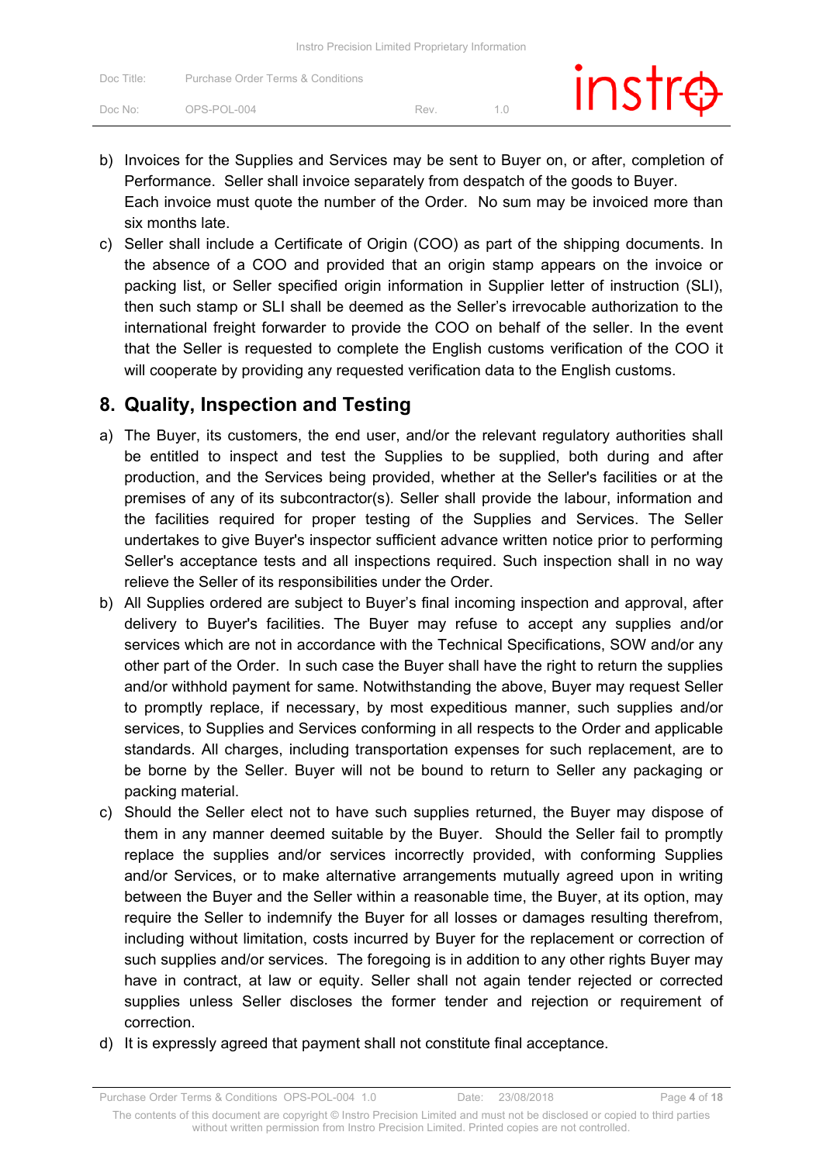|                     | Instro Precision Limited Proprietary Information |     |               |
|---------------------|--------------------------------------------------|-----|---------------|
| Doc Title:          | Purchase Order Terms & Conditions                |     | $instr\oplus$ |
| Doc No <sup>.</sup> | OPS-POL-004                                      | Rev |               |

- b) Invoices for the Supplies and Services may be sent to Buyer on, or after, completion of Performance. Seller shall invoice separately from despatch of the goods to Buyer. Each invoice must quote the number of the Order. No sum may be invoiced more than six months late.
- c) Seller shall include a Certificate of Origin (COO) as part of the shipping documents. In the absence of a COO and provided that an origin stamp appears on the invoice or packing list, or Seller specified origin information in Supplier letter of instruction (SLI), then such stamp or SLI shall be deemed as the Seller's irrevocable authorization to the international freight forwarder to provide the COO on behalf of the seller. In the event that the Seller is requested to complete the English customs verification of the COO it will cooperate by providing any requested verification data to the English customs.

#### **8. Quality, Inspection and Testing**

- a) The Buyer, its customers, the end user, and/or the relevant regulatory authorities shall be entitled to inspect and test the Supplies to be supplied, both during and after production, and the Services being provided, whether at the Seller's facilities or at the premises of any of its subcontractor(s). Seller shall provide the labour, information and the facilities required for proper testing of the Supplies and Services. The Seller undertakes to give Buyer's inspector sufficient advance written notice prior to performing Seller's acceptance tests and all inspections required. Such inspection shall in no way relieve the Seller of its responsibilities under the Order.
- b) All Supplies ordered are subject to Buyer's final incoming inspection and approval, after delivery to Buyer's facilities. The Buyer may refuse to accept any supplies and/or services which are not in accordance with the Technical Specifications, SOW and/or any other part of the Order. In such case the Buyer shall have the right to return the supplies and/or withhold payment for same. Notwithstanding the above, Buyer may request Seller to promptly replace, if necessary, by most expeditious manner, such supplies and/or services, to Supplies and Services conforming in all respects to the Order and applicable standards. All charges, including transportation expenses for such replacement, are to be borne by the Seller. Buyer will not be bound to return to Seller any packaging or packing material.
- c) Should the Seller elect not to have such supplies returned, the Buyer may dispose of them in any manner deemed suitable by the Buyer. Should the Seller fail to promptly replace the supplies and/or services incorrectly provided, with conforming Supplies and/or Services, or to make alternative arrangements mutually agreed upon in writing between the Buyer and the Seller within a reasonable time, the Buyer, at its option, may require the Seller to indemnify the Buyer for all losses or damages resulting therefrom, including without limitation, costs incurred by Buyer for the replacement or correction of such supplies and/or services. The foregoing is in addition to any other rights Buyer may have in contract, at law or equity. Seller shall not again tender rejected or corrected supplies unless Seller discloses the former tender and rejection or requirement of correction.
- d) It is expressly agreed that payment shall not constitute final acceptance.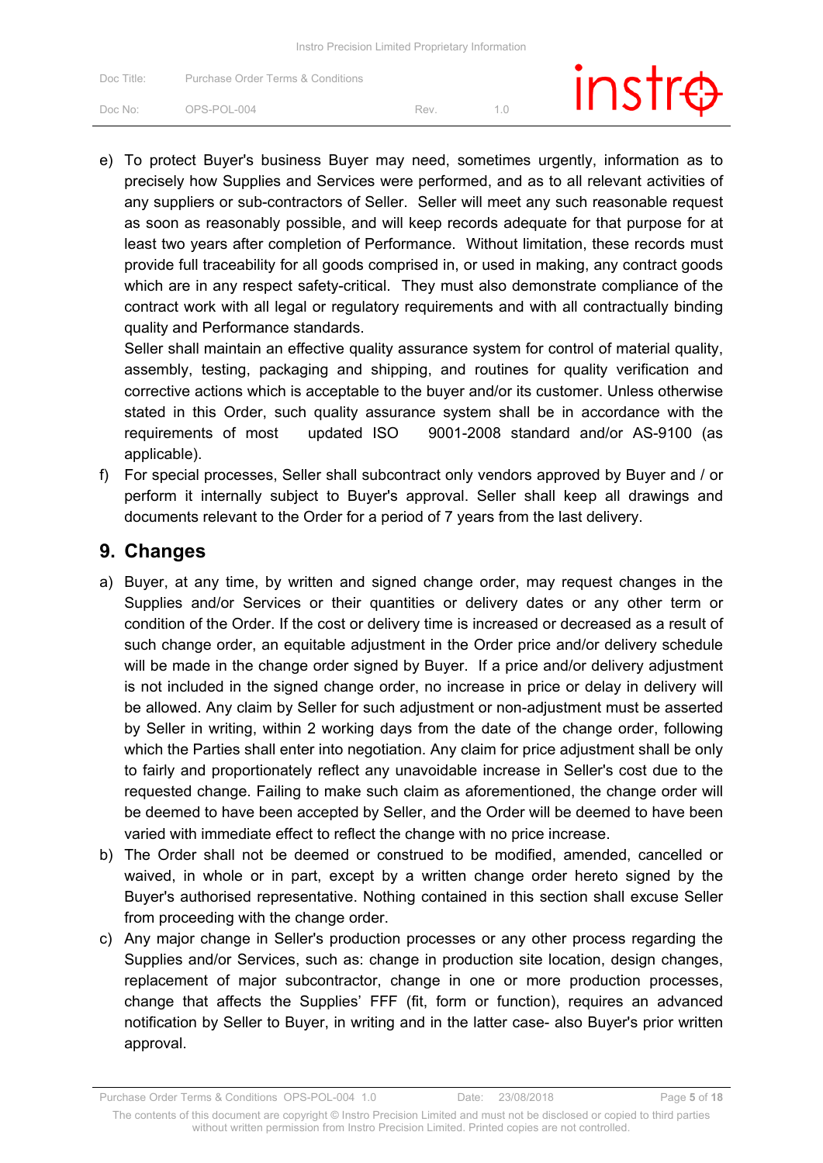| Doc Title: | Purchase Order Terms & Conditions |     | $instr\oplus$ |
|------------|-----------------------------------|-----|---------------|
| Doc No:    | OPS-POL-004                       | Rev |               |

e) To protect Buyer's business Buyer may need, sometimes urgently, information as to precisely how Supplies and Services were performed, and as to all relevant activities of any suppliers or sub-contractors of Seller. Seller will meet any such reasonable request as soon as reasonably possible, and will keep records adequate for that purpose for at least two years after completion of Performance. Without limitation, these records must provide full traceability for all goods comprised in, or used in making, any contract goods which are in any respect safety-critical. They must also demonstrate compliance of the contract work with all legal or regulatory requirements and with all contractually binding quality and Performance standards.

Seller shall maintain an effective quality assurance system for control of material quality, assembly, testing, packaging and shipping, and routines for quality verification and corrective actions which is acceptable to the buyer and/or its customer. Unless otherwise stated in this Order, such quality assurance system shall be in accordance with the requirements of most updated ISO 9001-2008 standard and/or AS-9100 (as applicable).

f) For special processes, Seller shall subcontract only vendors approved by Buyer and / or perform it internally subject to Buyer's approval. Seller shall keep all drawings and documents relevant to the Order for a period of 7 years from the last delivery.

#### **9. Changes**

- a) Buyer, at any time, by written and signed change order, may request changes in the Supplies and/or Services or their quantities or delivery dates or any other term or condition of the Order. If the cost or delivery time is increased or decreased as a result of such change order, an equitable adjustment in the Order price and/or delivery schedule will be made in the change order signed by Buyer. If a price and/or delivery adjustment is not included in the signed change order, no increase in price or delay in delivery will be allowed. Any claim by Seller for such adjustment or non-adjustment must be asserted by Seller in writing, within 2 working days from the date of the change order, following which the Parties shall enter into negotiation. Any claim for price adjustment shall be only to fairly and proportionately reflect any unavoidable increase in Seller's cost due to the requested change. Failing to make such claim as aforementioned, the change order will be deemed to have been accepted by Seller, and the Order will be deemed to have been varied with immediate effect to reflect the change with no price increase.
- b) The Order shall not be deemed or construed to be modified, amended, cancelled or waived, in whole or in part, except by a written change order hereto signed by the Buyer's authorised representative. Nothing contained in this section shall excuse Seller from proceeding with the change order.
- c) Any major change in Seller's production processes or any other process regarding the Supplies and/or Services, such as: change in production site location, design changes, replacement of major subcontractor, change in one or more production processes, change that affects the Supplies' FFF (fit, form or function), requires an advanced notification by Seller to Buyer, in writing and in the latter case- also Buyer's prior written approval.

Purchase Order Terms & Conditions OPS-POL-004 1.0 Date: 23/08/2018 Page **5** of **18**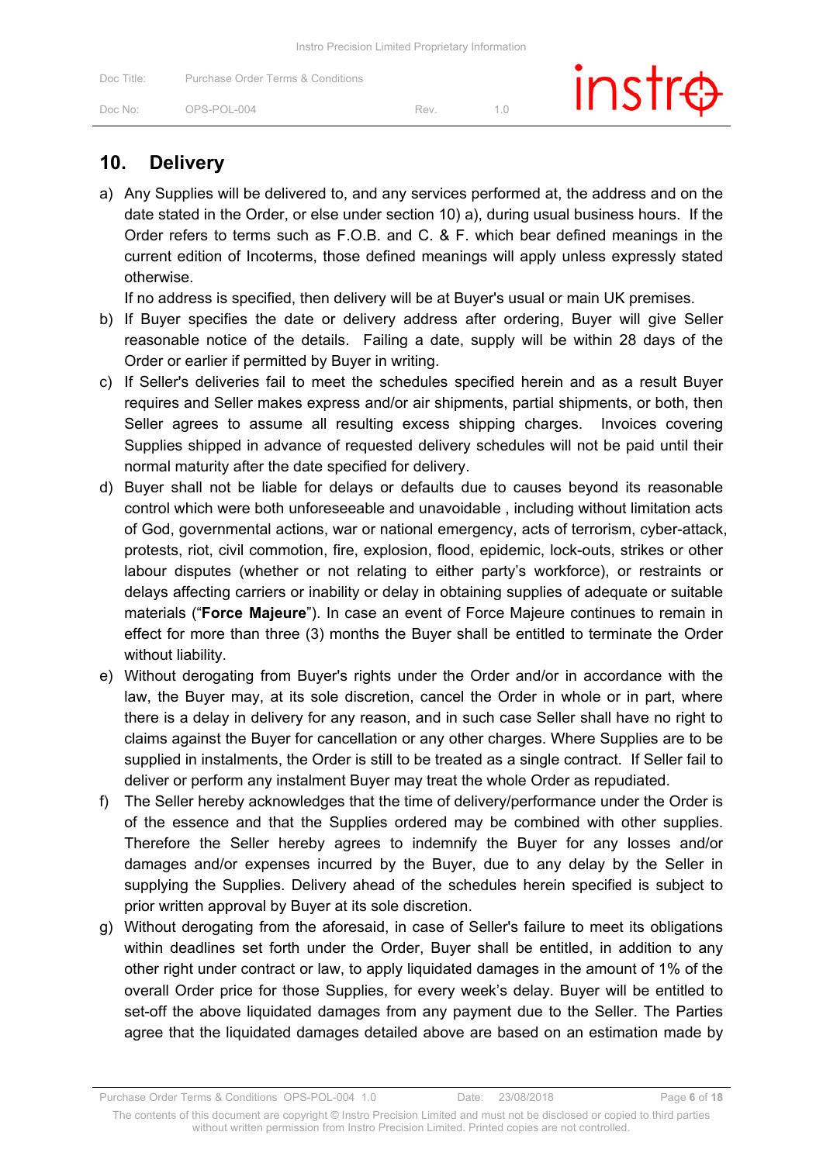|  | Instro Precision Limited Proprietary Information |  |
|--|--------------------------------------------------|--|
|--|--------------------------------------------------|--|

| Doc Title: | Purchase Order Terms & Conditions |     | $instr\oplus$ |  |
|------------|-----------------------------------|-----|---------------|--|
| Doc No:    | OPS-POL-004                       | Rev |               |  |

### **10. Delivery**

a) Any Supplies will be delivered to, and any services performed at, the address and on the date stated in the Order, or else under section 10) a), during usual business hours. If the Order refers to terms such as F.O.B. and C. & F. which bear defined meanings in the current edition of Incoterms, those defined meanings will apply unless expressly stated otherwise.

If no address is specified, then delivery will be at Buyer's usual or main UK premises.

- b) If Buyer specifies the date or delivery address after ordering, Buyer will give Seller reasonable notice of the details. Failing a date, supply will be within 28 days of the Order or earlier if permitted by Buyer in writing.
- c) If Seller's deliveries fail to meet the schedules specified herein and as a result Buyer requires and Seller makes express and/or air shipments, partial shipments, or both, then Seller agrees to assume all resulting excess shipping charges. Invoices covering Supplies shipped in advance of requested delivery schedules will not be paid until their normal maturity after the date specified for delivery.
- d) Buyer shall not be liable for delays or defaults due to causes beyond its reasonable control which were both unforeseeable and unavoidable , including without limitation acts of God, governmental actions, war or national emergency, acts of terrorism, cyber-attack, protests, riot, civil commotion, fire, explosion, flood, epidemic, lock-outs, strikes or other labour disputes (whether or not relating to either party's workforce), or restraints or delays affecting carriers or inability or delay in obtaining supplies of adequate or suitable materials ("**Force Majeure**"). In case an event of Force Majeure continues to remain in effect for more than three (3) months the Buyer shall be entitled to terminate the Order without liability.
- e) Without derogating from Buyer's rights under the Order and/or in accordance with the law, the Buyer may, at its sole discretion, cancel the Order in whole or in part, where there is a delay in delivery for any reason, and in such case Seller shall have no right to claims against the Buyer for cancellation or any other charges. Where Supplies are to be supplied in instalments, the Order is still to be treated as a single contract. If Seller fail to deliver or perform any instalment Buyer may treat the whole Order as repudiated.
- f) The Seller hereby acknowledges that the time of delivery/performance under the Order is of the essence and that the Supplies ordered may be combined with other supplies. Therefore the Seller hereby agrees to indemnify the Buyer for any losses and/or damages and/or expenses incurred by the Buyer, due to any delay by the Seller in supplying the Supplies. Delivery ahead of the schedules herein specified is subject to prior written approval by Buyer at its sole discretion.
- g) Without derogating from the aforesaid, in case of Seller's failure to meet its obligations within deadlines set forth under the Order, Buyer shall be entitled, in addition to any other right under contract or law, to apply liquidated damages in the amount of 1% of the overall Order price for those Supplies, for every week's delay. Buyer will be entitled to set-off the above liquidated damages from any payment due to the Seller. The Parties agree that the liquidated damages detailed above are based on an estimation made by

Purchase Order Terms & Conditions OPS-POL-004 1.0 Date: 23/08/2018 Page **6** of **18**

The contents of this document are copyright © Instro Precision Limited and must not be disclosed or copied to third parties without written permission from Instro Precision Limited. Printed copies are not controlled.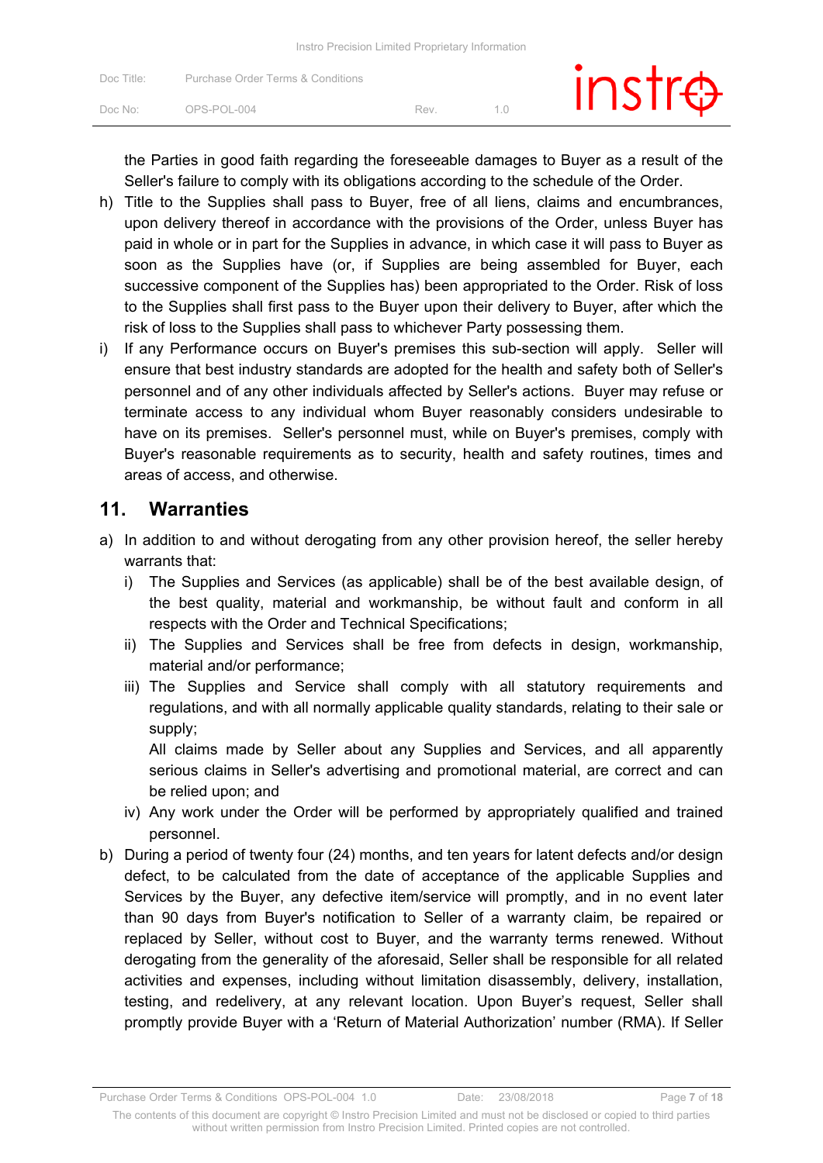| Doc Title: | Purchase Order Terms & Conditions |     | $instr\oplus$ |
|------------|-----------------------------------|-----|---------------|
| Doc No:    | OPS-POL-004                       | Rev |               |

the Parties in good faith regarding the foreseeable damages to Buyer as a result of the Seller's failure to comply with its obligations according to the schedule of the Order.

- h) Title to the Supplies shall pass to Buyer, free of all liens, claims and encumbrances, upon delivery thereof in accordance with the provisions of the Order, unless Buyer has paid in whole or in part for the Supplies in advance, in which case it will pass to Buyer as soon as the Supplies have (or, if Supplies are being assembled for Buyer, each successive component of the Supplies has) been appropriated to the Order. Risk of loss to the Supplies shall first pass to the Buyer upon their delivery to Buyer, after which the risk of loss to the Supplies shall pass to whichever Party possessing them.
- i) If any Performance occurs on Buyer's premises this sub-section will apply. Seller will ensure that best industry standards are adopted for the health and safety both of Seller's personnel and of any other individuals affected by Seller's actions. Buyer may refuse or terminate access to any individual whom Buyer reasonably considers undesirable to have on its premises. Seller's personnel must, while on Buyer's premises, comply with Buyer's reasonable requirements as to security, health and safety routines, times and areas of access, and otherwise.

#### **11. Warranties**

- a) In addition to and without derogating from any other provision hereof, the seller hereby warrants that:
	- i) The Supplies and Services (as applicable) shall be of the best available design, of the best quality, material and workmanship, be without fault and conform in all respects with the Order and Technical Specifications;
	- ii) The Supplies and Services shall be free from defects in design, workmanship, material and/or performance;
	- iii) The Supplies and Service shall comply with all statutory requirements and regulations, and with all normally applicable quality standards, relating to their sale or supply;

All claims made by Seller about any Supplies and Services, and all apparently serious claims in Seller's advertising and promotional material, are correct and can be relied upon; and

- iv) Any work under the Order will be performed by appropriately qualified and trained personnel.
- b) During a period of twenty four (24) months, and ten years for latent defects and/or design defect, to be calculated from the date of acceptance of the applicable Supplies and Services by the Buyer, any defective item/service will promptly, and in no event later than 90 days from Buyer's notification to Seller of a warranty claim, be repaired or replaced by Seller, without cost to Buyer, and the warranty terms renewed. Without derogating from the generality of the aforesaid, Seller shall be responsible for all related activities and expenses, including without limitation disassembly, delivery, installation, testing, and redelivery, at any relevant location. Upon Buyer's request, Seller shall promptly provide Buyer with a 'Return of Material Authorization' number (RMA). If Seller

Purchase Order Terms & Conditions OPS-POL-004 1.0 Date: 23/08/2018 Page **7** of **18**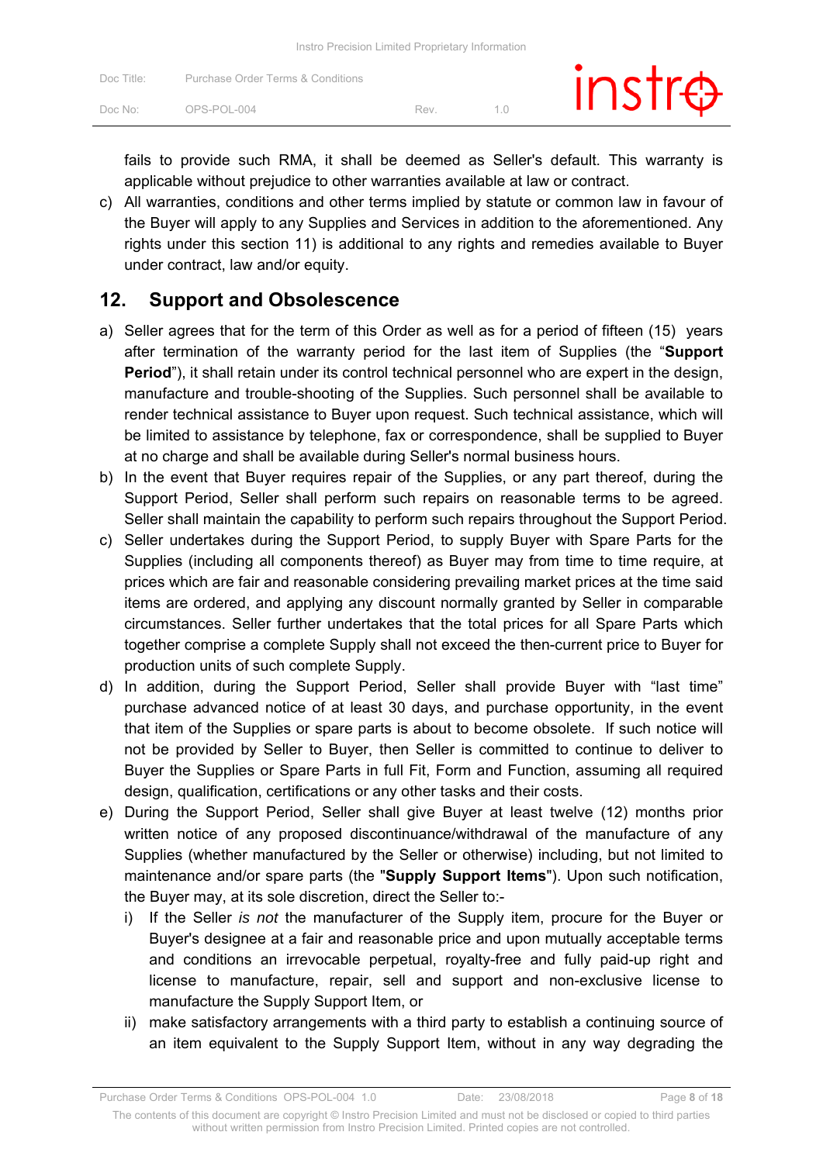| Doc Title:          | Purchase Order Terms & Conditions |     | $instr\oplus$ |
|---------------------|-----------------------------------|-----|---------------|
| Doc No <sup>.</sup> | OPS-POL-004                       | Rev |               |

fails to provide such RMA, it shall be deemed as Seller's default. This warranty is applicable without prejudice to other warranties available at law or contract.

c) All warranties, conditions and other terms implied by statute or common law in favour of the Buyer will apply to any Supplies and Services in addition to the aforementioned. Any rights under this section 11) is additional to any rights and remedies available to Buyer under contract, law and/or equity.

#### **12. Support and Obsolescence**

- a) Seller agrees that for the term of this Order as well as for a period of fifteen (15) years after termination of the warranty period for the last item of Supplies (the "**Support Period**"), it shall retain under its control technical personnel who are expert in the design, manufacture and trouble-shooting of the Supplies. Such personnel shall be available to render technical assistance to Buyer upon request. Such technical assistance, which will be limited to assistance by telephone, fax or correspondence, shall be supplied to Buyer at no charge and shall be available during Seller's normal business hours.
- b) In the event that Buyer requires repair of the Supplies, or any part thereof, during the Support Period, Seller shall perform such repairs on reasonable terms to be agreed. Seller shall maintain the capability to perform such repairs throughout the Support Period.
- c) Seller undertakes during the Support Period, to supply Buyer with Spare Parts for the Supplies (including all components thereof) as Buyer may from time to time require, at prices which are fair and reasonable considering prevailing market prices at the time said items are ordered, and applying any discount normally granted by Seller in comparable circumstances. Seller further undertakes that the total prices for all Spare Parts which together comprise a complete Supply shall not exceed the then-current price to Buyer for production units of such complete Supply.
- d) In addition, during the Support Period, Seller shall provide Buyer with "last time" purchase advanced notice of at least 30 days, and purchase opportunity, in the event that item of the Supplies or spare parts is about to become obsolete. If such notice will not be provided by Seller to Buyer, then Seller is committed to continue to deliver to Buyer the Supplies or Spare Parts in full Fit, Form and Function, assuming all required design, qualification, certifications or any other tasks and their costs.
- e) During the Support Period, Seller shall give Buyer at least twelve (12) months prior written notice of any proposed discontinuance/withdrawal of the manufacture of any Supplies (whether manufactured by the Seller or otherwise) including, but not limited to maintenance and/or spare parts (the "**Supply Support Items**"). Upon such notification, the Buyer may, at its sole discretion, direct the Seller to:
	- i) If the Seller *is not* the manufacturer of the Supply item, procure for the Buyer or Buyer's designee at a fair and reasonable price and upon mutually acceptable terms and conditions an irrevocable perpetual, royalty-free and fully paid-up right and license to manufacture, repair, sell and support and non-exclusive license to manufacture the Supply Support Item, or
	- ii) make satisfactory arrangements with a third party to establish a continuing source of an item equivalent to the Supply Support Item, without in any way degrading the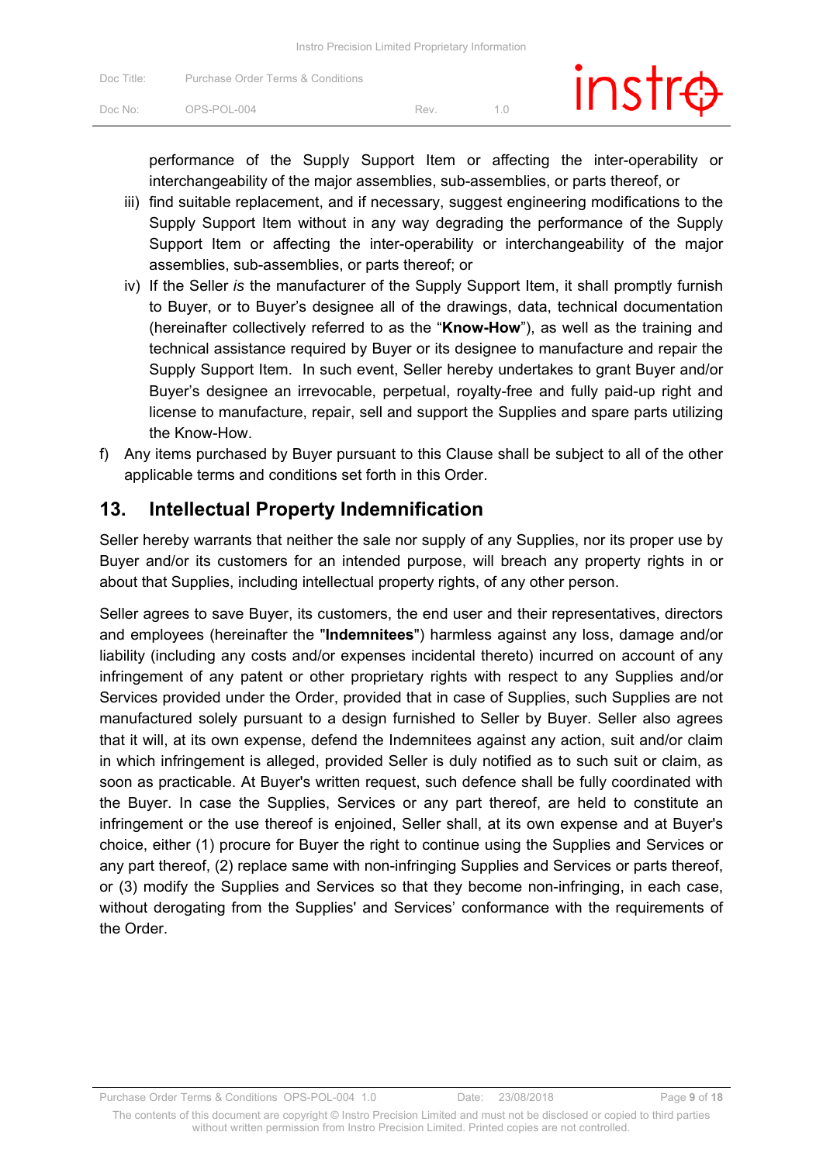| Doc Title:          | Purchase Order Terms & Conditions |     | $instr\oplus$ |
|---------------------|-----------------------------------|-----|---------------|
| Doc No <sup>.</sup> | OPS-POL-004                       | Rev |               |

performance of the Supply Support Item or affecting the inter-operability or interchangeability of the major assemblies, sub-assemblies, or parts thereof, or

- iii) find suitable replacement, and if necessary, suggest engineering modifications to the Supply Support Item without in any way degrading the performance of the Supply Support Item or affecting the inter-operability or interchangeability of the major assemblies, sub-assemblies, or parts thereof; or
- iv) If the Seller *is* the manufacturer of the Supply Support Item, it shall promptly furnish to Buyer, or to Buyer's designee all of the drawings, data, technical documentation (hereinafter collectively referred to as the "**Know-How**"), as well as the training and technical assistance required by Buyer or its designee to manufacture and repair the Supply Support Item. In such event, Seller hereby undertakes to grant Buyer and/or Buyer's designee an irrevocable, perpetual, royalty-free and fully paid-up right and license to manufacture, repair, sell and support the Supplies and spare parts utilizing the Know-How.
- f) Any items purchased by Buyer pursuant to this Clause shall be subject to all of the other applicable terms and conditions set forth in this Order.

### **13. Intellectual Property Indemnification**

Seller hereby warrants that neither the sale nor supply of any Supplies, nor its proper use by Buyer and/or its customers for an intended purpose, will breach any property rights in or about that Supplies, including intellectual property rights, of any other person.

Seller agrees to save Buyer, its customers, the end user and their representatives, directors and employees (hereinafter the "**Indemnitees**") harmless against any loss, damage and/or liability (including any costs and/or expenses incidental thereto) incurred on account of any infringement of any patent or other proprietary rights with respect to any Supplies and/or Services provided under the Order, provided that in case of Supplies, such Supplies are not manufactured solely pursuant to a design furnished to Seller by Buyer. Seller also agrees that it will, at its own expense, defend the Indemnitees against any action, suit and/or claim in which infringement is alleged, provided Seller is duly notified as to such suit or claim, as soon as practicable. At Buyer's written request, such defence shall be fully coordinated with the Buyer. In case the Supplies, Services or any part thereof, are held to constitute an infringement or the use thereof is enjoined, Seller shall, at its own expense and at Buyer's choice, either (1) procure for Buyer the right to continue using the Supplies and Services or any part thereof, (2) replace same with non-infringing Supplies and Services or parts thereof, or (3) modify the Supplies and Services so that they become non-infringing, in each case, without derogating from the Supplies' and Services' conformance with the requirements of the Order.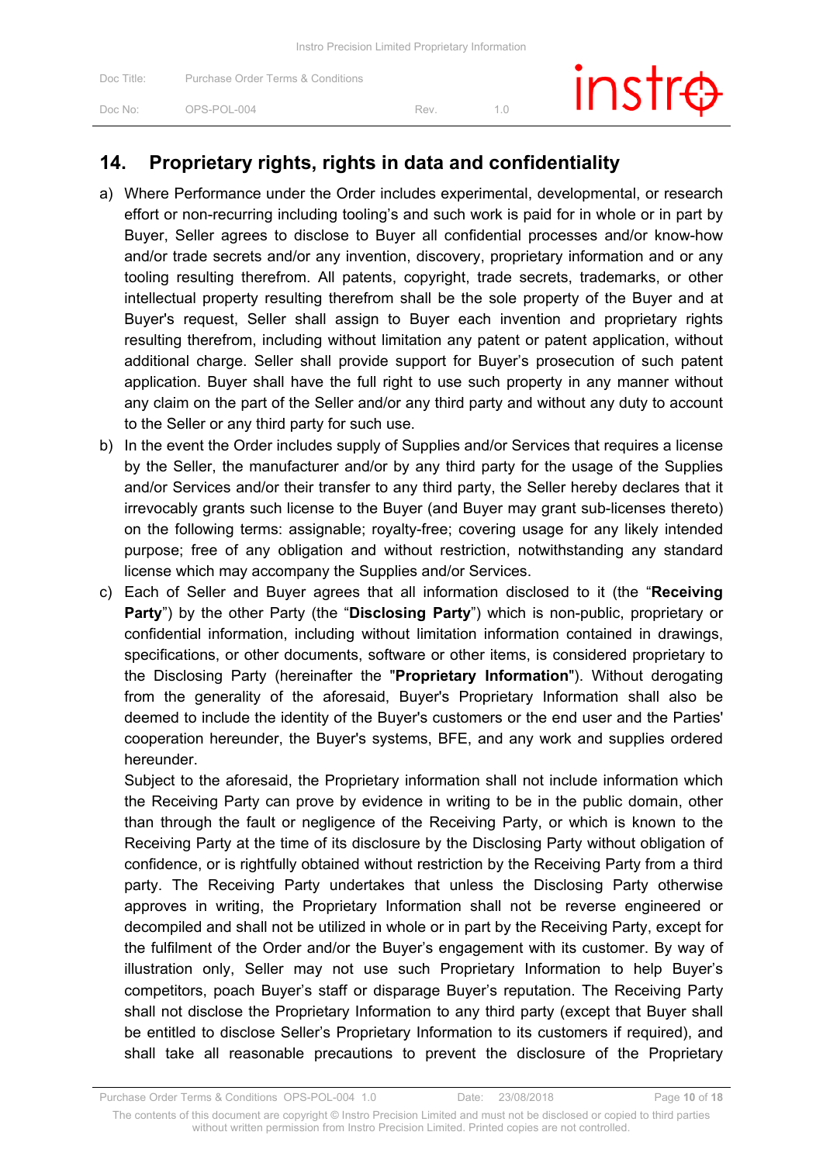|                     | Instro Precision Limited Proprietary Information |     |    |        |
|---------------------|--------------------------------------------------|-----|----|--------|
| Doc Title:          | <b>Purchase Order Terms &amp; Conditions</b>     |     |    | instre |
| Doc No <sup>.</sup> | OPS-POL-004                                      | Rev | 10 |        |
|                     |                                                  |     |    |        |

# **14. Proprietary rights, rights in data and confidentiality**

- a) Where Performance under the Order includes experimental, developmental, or research effort or non-recurring including tooling's and such work is paid for in whole or in part by Buyer, Seller agrees to disclose to Buyer all confidential processes and/or know-how and/or trade secrets and/or any invention, discovery, proprietary information and or any tooling resulting therefrom. All patents, copyright, trade secrets, trademarks, or other intellectual property resulting therefrom shall be the sole property of the Buyer and at Buyer's request, Seller shall assign to Buyer each invention and proprietary rights resulting therefrom, including without limitation any patent or patent application, without additional charge. Seller shall provide support for Buyer's prosecution of such patent application. Buyer shall have the full right to use such property in any manner without any claim on the part of the Seller and/or any third party and without any duty to account to the Seller or any third party for such use.
- b) In the event the Order includes supply of Supplies and/or Services that requires a license by the Seller, the manufacturer and/or by any third party for the usage of the Supplies and/or Services and/or their transfer to any third party, the Seller hereby declares that it irrevocably grants such license to the Buyer (and Buyer may grant sub-licenses thereto) on the following terms: assignable; royalty-free; covering usage for any likely intended purpose; free of any obligation and without restriction, notwithstanding any standard license which may accompany the Supplies and/or Services.
- c) Each of Seller and Buyer agrees that all information disclosed to it (the "**Receiving Party**") by the other Party (the "**Disclosing Party**") which is non-public, proprietary or confidential information, including without limitation information contained in drawings, specifications, or other documents, software or other items, is considered proprietary to the Disclosing Party (hereinafter the "**Proprietary Information**"). Without derogating from the generality of the aforesaid, Buyer's Proprietary Information shall also be deemed to include the identity of the Buyer's customers or the end user and the Parties' cooperation hereunder, the Buyer's systems, BFE, and any work and supplies ordered hereunder.

Subject to the aforesaid, the Proprietary information shall not include information which the Receiving Party can prove by evidence in writing to be in the public domain, other than through the fault or negligence of the Receiving Party, or which is known to the Receiving Party at the time of its disclosure by the Disclosing Party without obligation of confidence, or is rightfully obtained without restriction by the Receiving Party from a third party. The Receiving Party undertakes that unless the Disclosing Party otherwise approves in writing, the Proprietary Information shall not be reverse engineered or decompiled and shall not be utilized in whole or in part by the Receiving Party, except for the fulfilment of the Order and/or the Buyer's engagement with its customer. By way of illustration only, Seller may not use such Proprietary Information to help Buyer's competitors, poach Buyer's staff or disparage Buyer's reputation. The Receiving Party shall not disclose the Proprietary Information to any third party (except that Buyer shall be entitled to disclose Seller's Proprietary Information to its customers if required), and shall take all reasonable precautions to prevent the disclosure of the Proprietary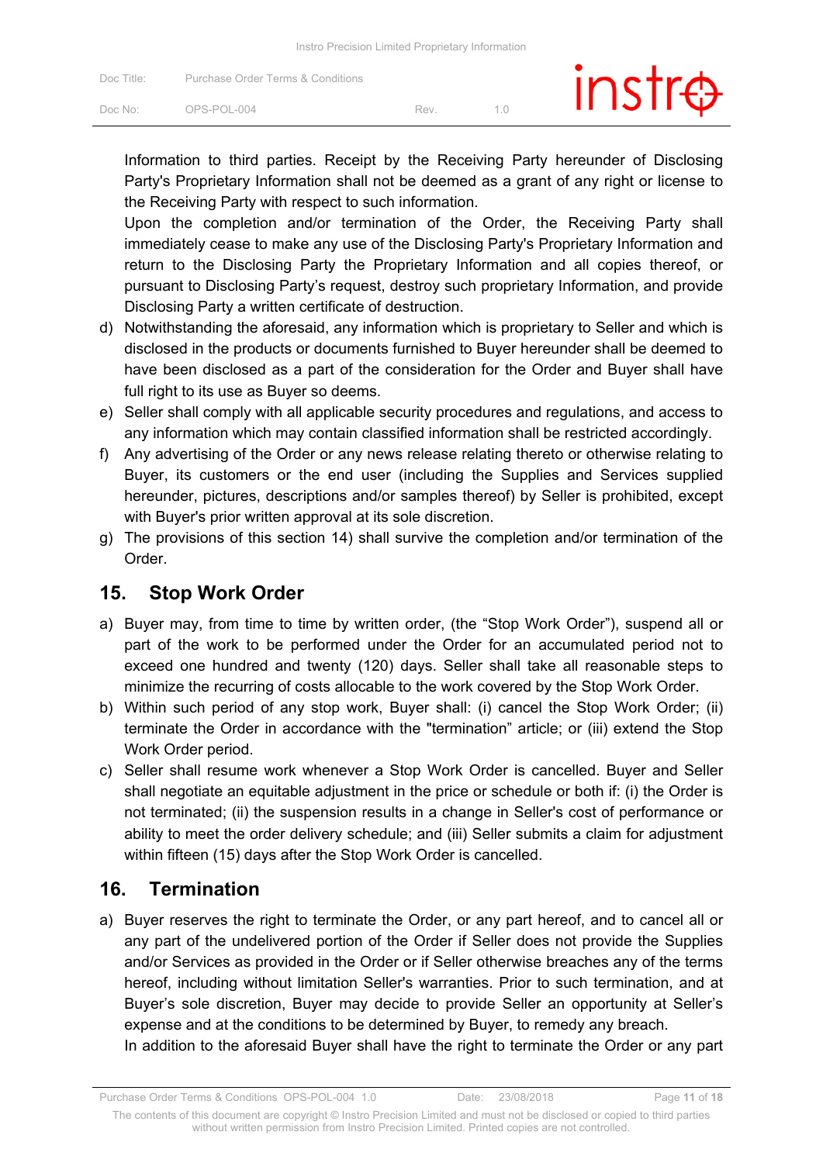| Doc Title: | Purchase Order Terms & Conditions |     | inst |  |
|------------|-----------------------------------|-----|------|--|
| Doc No:    | OPS-POL-004                       | Rev |      |  |

Information to third parties. Receipt by the Receiving Party hereunder of Disclosing Party's Proprietary Information shall not be deemed as a grant of any right or license to the Receiving Party with respect to such information.

Upon the completion and/or termination of the Order, the Receiving Party shall immediately cease to make any use of the Disclosing Party's Proprietary Information and return to the Disclosing Party the Proprietary Information and all copies thereof, or pursuant to Disclosing Party's request, destroy such proprietary Information, and provide Disclosing Party a written certificate of destruction.

- d) Notwithstanding the aforesaid, any information which is proprietary to Seller and which is disclosed in the products or documents furnished to Buyer hereunder shall be deemed to have been disclosed as a part of the consideration for the Order and Buyer shall have full right to its use as Buyer so deems.
- e) Seller shall comply with all applicable security procedures and regulations, and access to any information which may contain classified information shall be restricted accordingly.
- f) Any advertising of the Order or any news release relating thereto or otherwise relating to Buyer, its customers or the end user (including the Supplies and Services supplied hereunder, pictures, descriptions and/or samples thereof) by Seller is prohibited, except with Buyer's prior written approval at its sole discretion.
- g) The provisions of this section 14) shall survive the completion and/or termination of the Order.

### **15. Stop Work Order**

- a) Buyer may, from time to time by written order, (the "Stop Work Order"), suspend all or part of the work to be performed under the Order for an accumulated period not to exceed one hundred and twenty (120) days. Seller shall take all reasonable steps to minimize the recurring of costs allocable to the work covered by the Stop Work Order.
- b) Within such period of any stop work, Buyer shall: (i) cancel the Stop Work Order; (ii) terminate the Order in accordance with the "termination" article; or (iii) extend the Stop Work Order period.
- c) Seller shall resume work whenever a Stop Work Order is cancelled. Buyer and Seller shall negotiate an equitable adjustment in the price or schedule or both if: (i) the Order is not terminated; (ii) the suspension results in a change in Seller's cost of performance or ability to meet the order delivery schedule; and (iii) Seller submits a claim for adjustment within fifteen (15) days after the Stop Work Order is cancelled.

### **16. Termination**

a) Buyer reserves the right to terminate the Order, or any part hereof, and to cancel all or any part of the undelivered portion of the Order if Seller does not provide the Supplies and/or Services as provided in the Order or if Seller otherwise breaches any of the terms hereof, including without limitation Seller's warranties. Prior to such termination, and at Buyer's sole discretion, Buyer may decide to provide Seller an opportunity at Seller's expense and at the conditions to be determined by Buyer, to remedy any breach.

In addition to the aforesaid Buyer shall have the right to terminate the Order or any part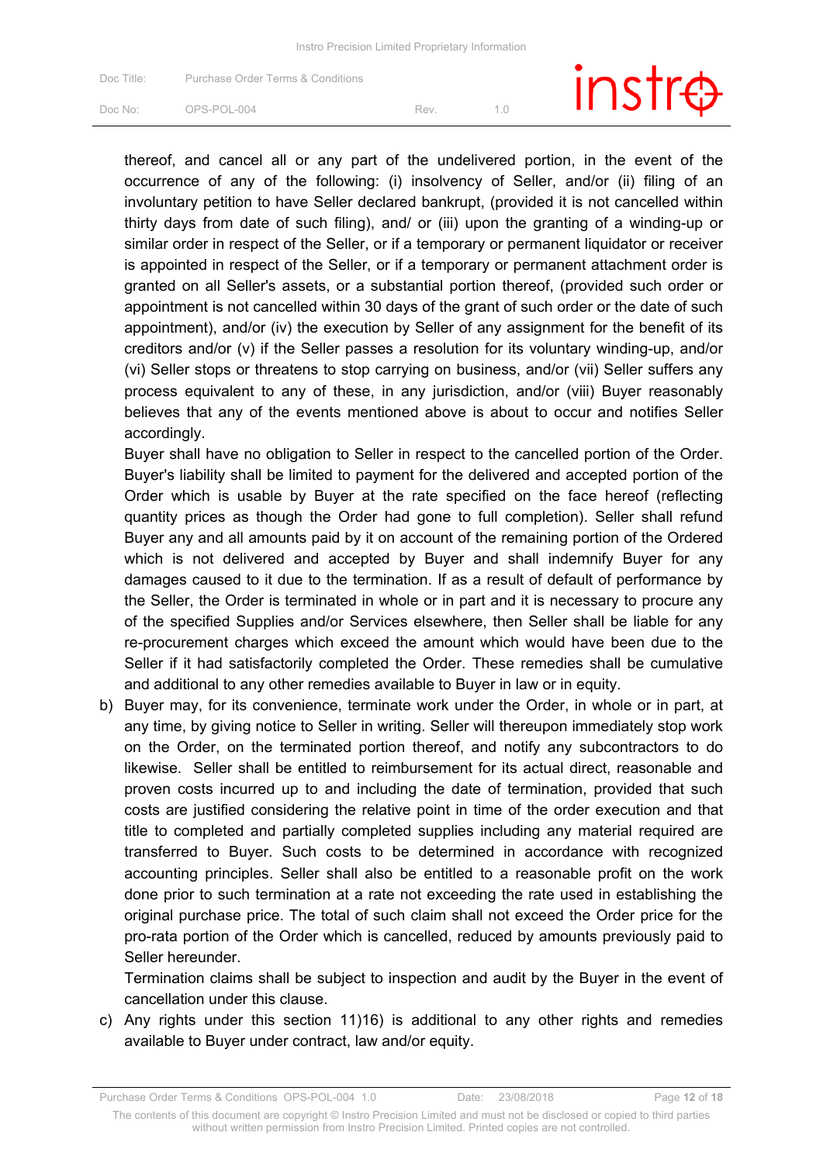| Doc Title:          | Purchase Order Terms & Conditions |     | $instr\oplus$ |
|---------------------|-----------------------------------|-----|---------------|
| Doc No <sup>.</sup> | OPS-POL-004                       | Rev |               |

thereof, and cancel all or any part of the undelivered portion, in the event of the occurrence of any of the following: (i) insolvency of Seller, and/or (ii) filing of an involuntary petition to have Seller declared bankrupt, (provided it is not cancelled within thirty days from date of such filing), and/ or (iii) upon the granting of a winding-up or similar order in respect of the Seller, or if a temporary or permanent liquidator or receiver is appointed in respect of the Seller, or if a temporary or permanent attachment order is granted on all Seller's assets, or a substantial portion thereof, (provided such order or appointment is not cancelled within 30 days of the grant of such order or the date of such appointment), and/or (iv) the execution by Seller of any assignment for the benefit of its creditors and/or (v) if the Seller passes a resolution for its voluntary winding-up, and/or (vi) Seller stops or threatens to stop carrying on business, and/or (vii) Seller suffers any process equivalent to any of these, in any jurisdiction, and/or (viii) Buyer reasonably believes that any of the events mentioned above is about to occur and notifies Seller accordingly.

Buyer shall have no obligation to Seller in respect to the cancelled portion of the Order. Buyer's liability shall be limited to payment for the delivered and accepted portion of the Order which is usable by Buyer at the rate specified on the face hereof (reflecting quantity prices as though the Order had gone to full completion). Seller shall refund Buyer any and all amounts paid by it on account of the remaining portion of the Ordered which is not delivered and accepted by Buyer and shall indemnify Buyer for any damages caused to it due to the termination. If as a result of default of performance by the Seller, the Order is terminated in whole or in part and it is necessary to procure any of the specified Supplies and/or Services elsewhere, then Seller shall be liable for any re-procurement charges which exceed the amount which would have been due to the Seller if it had satisfactorily completed the Order. These remedies shall be cumulative and additional to any other remedies available to Buyer in law or in equity.

b) Buyer may, for its convenience, terminate work under the Order, in whole or in part, at any time, by giving notice to Seller in writing. Seller will thereupon immediately stop work on the Order, on the terminated portion thereof, and notify any subcontractors to do likewise. Seller shall be entitled to reimbursement for its actual direct, reasonable and proven costs incurred up to and including the date of termination, provided that such costs are justified considering the relative point in time of the order execution and that title to completed and partially completed supplies including any material required are transferred to Buyer. Such costs to be determined in accordance with recognized accounting principles. Seller shall also be entitled to a reasonable profit on the work done prior to such termination at a rate not exceeding the rate used in establishing the original purchase price. The total of such claim shall not exceed the Order price for the pro-rata portion of the Order which is cancelled, reduced by amounts previously paid to Seller hereunder.

Termination claims shall be subject to inspection and audit by the Buyer in the event of cancellation under this clause.

c) Any rights under this section 11)16) is additional to any other rights and remedies available to Buyer under contract, law and/or equity.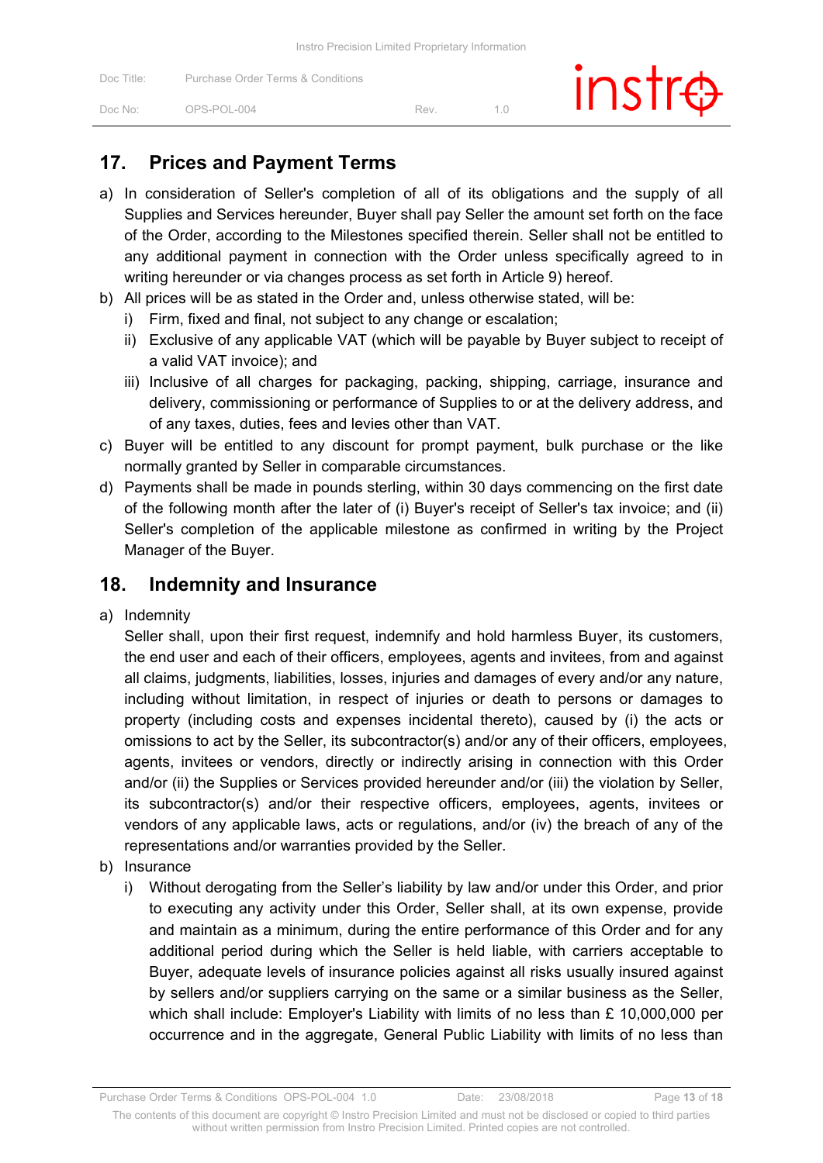| Doc Title: | Purchase Order Terms & Conditions |     | $inst\oplus$ |
|------------|-----------------------------------|-----|--------------|
| Doc No:    | $OPS-POI-004$                     | Rev |              |

### **17. Prices and Payment Terms**

- a) In consideration of Seller's completion of all of its obligations and the supply of all Supplies and Services hereunder, Buyer shall pay Seller the amount set forth on the face of the Order, according to the Milestones specified therein. Seller shall not be entitled to any additional payment in connection with the Order unless specifically agreed to in writing hereunder or via changes process as set forth in Article 9) hereof.
- b) All prices will be as stated in the Order and, unless otherwise stated, will be:
	- i) Firm, fixed and final, not subject to any change or escalation;
	- ii) Exclusive of any applicable VAT (which will be payable by Buyer subject to receipt of a valid VAT invoice); and
	- iii) Inclusive of all charges for packaging, packing, shipping, carriage, insurance and delivery, commissioning or performance of Supplies to or at the delivery address, and of any taxes, duties, fees and levies other than VAT.
- c) Buyer will be entitled to any discount for prompt payment, bulk purchase or the like normally granted by Seller in comparable circumstances.
- d) Payments shall be made in pounds sterling, within 30 days commencing on the first date of the following month after the later of (i) Buyer's receipt of Seller's tax invoice; and (ii) Seller's completion of the applicable milestone as confirmed in writing by the Project Manager of the Buyer.

#### **18. Indemnity and Insurance**

a) Indemnity

Seller shall, upon their first request, indemnify and hold harmless Buyer, its customers, the end user and each of their officers, employees, agents and invitees, from and against all claims, judgments, liabilities, losses, injuries and damages of every and/or any nature, including without limitation, in respect of injuries or death to persons or damages to property (including costs and expenses incidental thereto), caused by (i) the acts or omissions to act by the Seller, its subcontractor(s) and/or any of their officers, employees, agents, invitees or vendors, directly or indirectly arising in connection with this Order and/or (ii) the Supplies or Services provided hereunder and/or (iii) the violation by Seller, its subcontractor(s) and/or their respective officers, employees, agents, invitees or vendors of any applicable laws, acts or regulations, and/or (iv) the breach of any of the representations and/or warranties provided by the Seller.

- b) Insurance
	- i) Without derogating from the Seller's liability by law and/or under this Order, and prior to executing any activity under this Order, Seller shall, at its own expense, provide and maintain as a minimum, during the entire performance of this Order and for any additional period during which the Seller is held liable, with carriers acceptable to Buyer, adequate levels of insurance policies against all risks usually insured against by sellers and/or suppliers carrying on the same or a similar business as the Seller, which shall include: Employer's Liability with limits of no less than £ 10,000,000 per occurrence and in the aggregate, General Public Liability with limits of no less than

Purchase Order Terms & Conditions OPS-POL-004 1.0 Date: 23/08/2018 Page **13** of **18**

The contents of this document are copyright © Instro Precision Limited and must not be disclosed or copied to third parties without written permission from Instro Precision Limited. Printed copies are not controlled.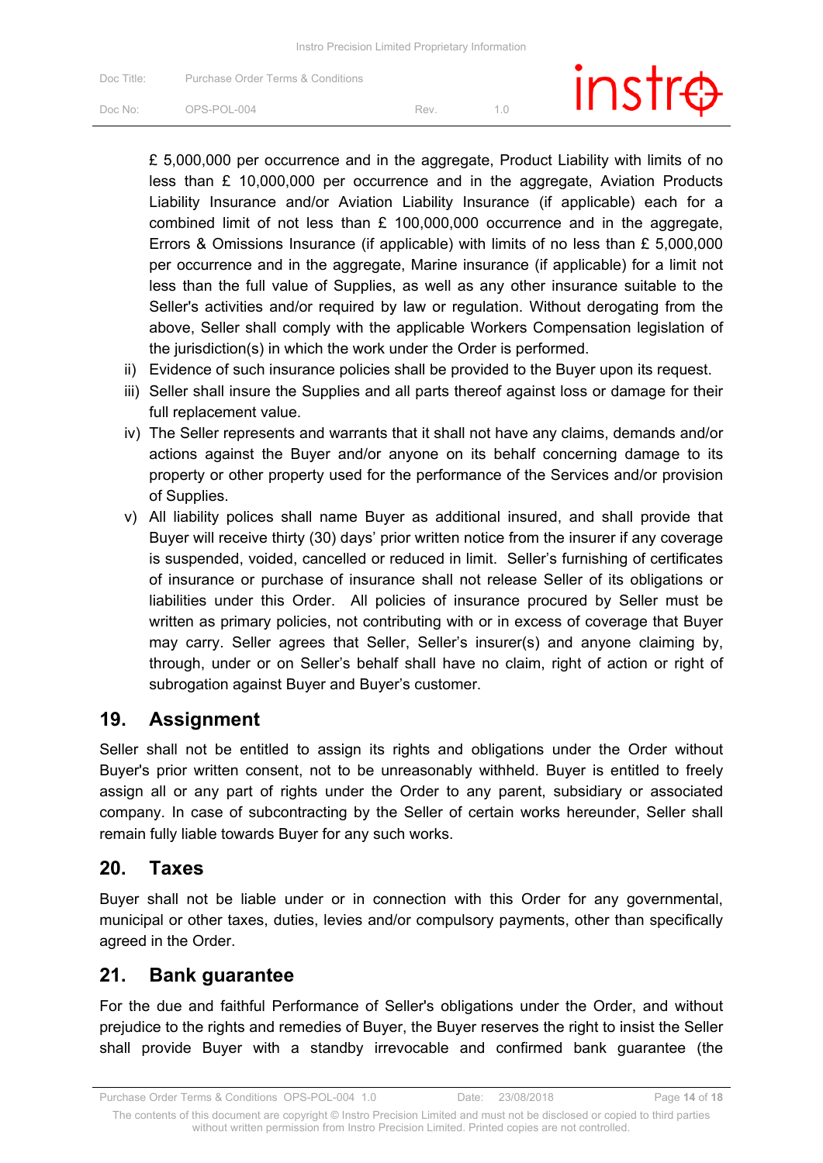| Doc Title:          | Purchase Order Terms & Conditions |     | $instr\oplus$ |
|---------------------|-----------------------------------|-----|---------------|
| Doc No <sup>.</sup> | OPS-POL-004                       | Rev |               |

£ 5,000,000 per occurrence and in the aggregate, Product Liability with limits of no less than £ 10,000,000 per occurrence and in the aggregate, Aviation Products Liability Insurance and/or Aviation Liability Insurance (if applicable) each for a combined limit of not less than £ 100,000,000 occurrence and in the aggregate, Errors & Omissions Insurance (if applicable) with limits of no less than £ 5,000,000 per occurrence and in the aggregate, Marine insurance (if applicable) for a limit not less than the full value of Supplies, as well as any other insurance suitable to the Seller's activities and/or required by law or regulation. Without derogating from the above, Seller shall comply with the applicable Workers Compensation legislation of the jurisdiction(s) in which the work under the Order is performed.

- ii) Evidence of such insurance policies shall be provided to the Buyer upon its request.
- iii) Seller shall insure the Supplies and all parts thereof against loss or damage for their full replacement value.
- iv) The Seller represents and warrants that it shall not have any claims, demands and/or actions against the Buyer and/or anyone on its behalf concerning damage to its property or other property used for the performance of the Services and/or provision of Supplies.
- v) All liability polices shall name Buyer as additional insured, and shall provide that Buyer will receive thirty (30) days' prior written notice from the insurer if any coverage is suspended, voided, cancelled or reduced in limit. Seller's furnishing of certificates of insurance or purchase of insurance shall not release Seller of its obligations or liabilities under this Order. All policies of insurance procured by Seller must be written as primary policies, not contributing with or in excess of coverage that Buyer may carry. Seller agrees that Seller, Seller's insurer(s) and anyone claiming by, through, under or on Seller's behalf shall have no claim, right of action or right of subrogation against Buyer and Buyer's customer.

#### **19. Assignment**

Seller shall not be entitled to assign its rights and obligations under the Order without Buyer's prior written consent, not to be unreasonably withheld. Buyer is entitled to freely assign all or any part of rights under the Order to any parent, subsidiary or associated company. In case of subcontracting by the Seller of certain works hereunder, Seller shall remain fully liable towards Buyer for any such works.

#### **20. Taxes**

Buyer shall not be liable under or in connection with this Order for any governmental, municipal or other taxes, duties, levies and/or compulsory payments, other than specifically agreed in the Order.

#### **21. Bank guarantee**

For the due and faithful Performance of Seller's obligations under the Order, and without prejudice to the rights and remedies of Buyer, the Buyer reserves the right to insist the Seller shall provide Buyer with a standby irrevocable and confirmed bank guarantee (the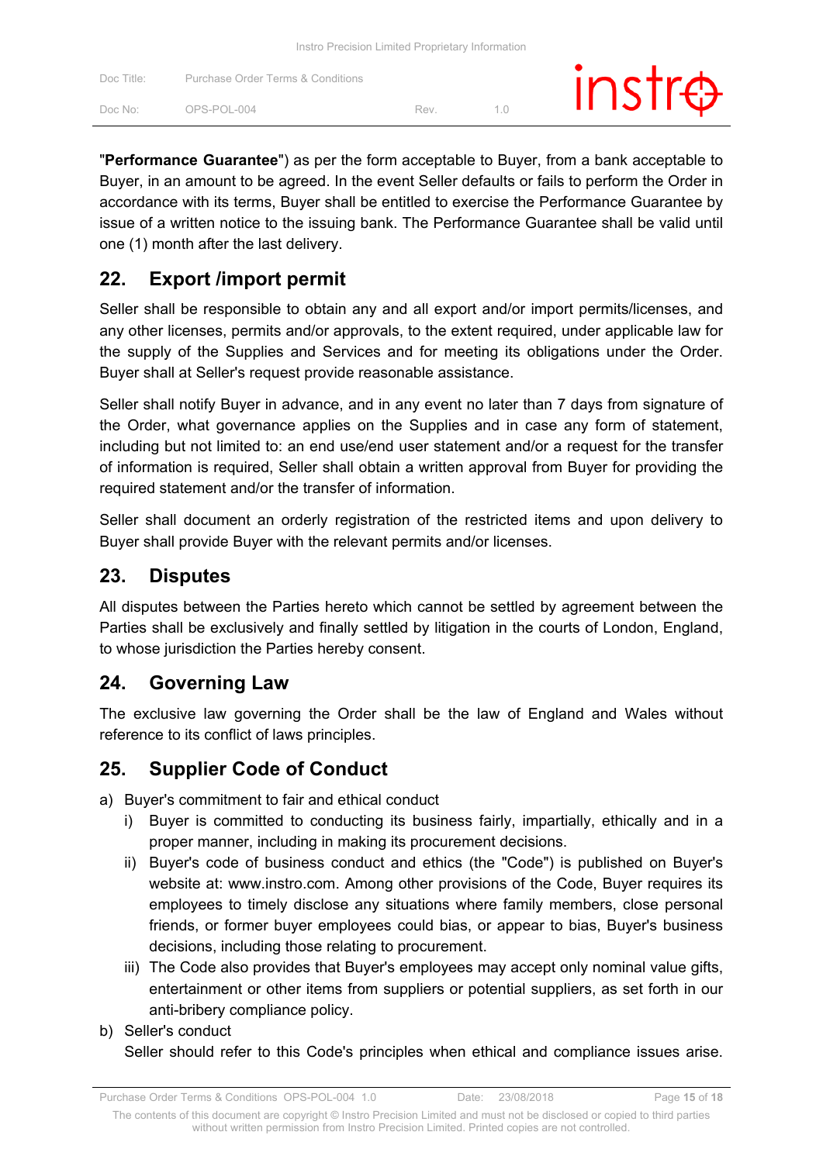| Doc Title: | Purchase Order Terms & Conditions |     | $instr\oplus$ |
|------------|-----------------------------------|-----|---------------|
| Doc No:    | OPS-POL-004                       | Rev |               |

"**Performance Guarantee**") as per the form acceptable to Buyer, from a bank acceptable to Buyer, in an amount to be agreed. In the event Seller defaults or fails to perform the Order in accordance with its terms, Buyer shall be entitled to exercise the Performance Guarantee by issue of a written notice to the issuing bank. The Performance Guarantee shall be valid until one (1) month after the last delivery.

# **22. Export /import permit**

Seller shall be responsible to obtain any and all export and/or import permits/licenses, and any other licenses, permits and/or approvals, to the extent required, under applicable law for the supply of the Supplies and Services and for meeting its obligations under the Order. Buyer shall at Seller's request provide reasonable assistance.

Seller shall notify Buyer in advance, and in any event no later than 7 days from signature of the Order, what governance applies on the Supplies and in case any form of statement, including but not limited to: an end use/end user statement and/or a request for the transfer of information is required, Seller shall obtain a written approval from Buyer for providing the required statement and/or the transfer of information.

Seller shall document an orderly registration of the restricted items and upon delivery to Buyer shall provide Buyer with the relevant permits and/or licenses.

### **23. Disputes**

All disputes between the Parties hereto which cannot be settled by agreement between the Parties shall be exclusively and finally settled by litigation in the courts of London, England, to whose jurisdiction the Parties hereby consent.

# **24. Governing Law**

The exclusive law governing the Order shall be the law of England and Wales without reference to its conflict of laws principles.

# **25. Supplier Code of Conduct**

a) Buyer's commitment to fair and ethical conduct

- i) Buyer is committed to conducting its business fairly, impartially, ethically and in a proper manner, including in making its procurement decisions.
- ii) Buyer's code of business conduct and ethics (the "Code") is published on Buyer's website at: www.instro.com. Among other provisions of the Code, Buyer requires its employees to timely disclose any situations where family members, close personal friends, or former buyer employees could bias, or appear to bias, Buyer's business decisions, including those relating to procurement.
- iii) The Code also provides that Buyer's employees may accept only nominal value gifts, entertainment or other items from suppliers or potential suppliers, as set forth in our anti-bribery compliance policy.
- b) Seller's conduct

Seller should refer to this Code's principles when ethical and compliance issues arise.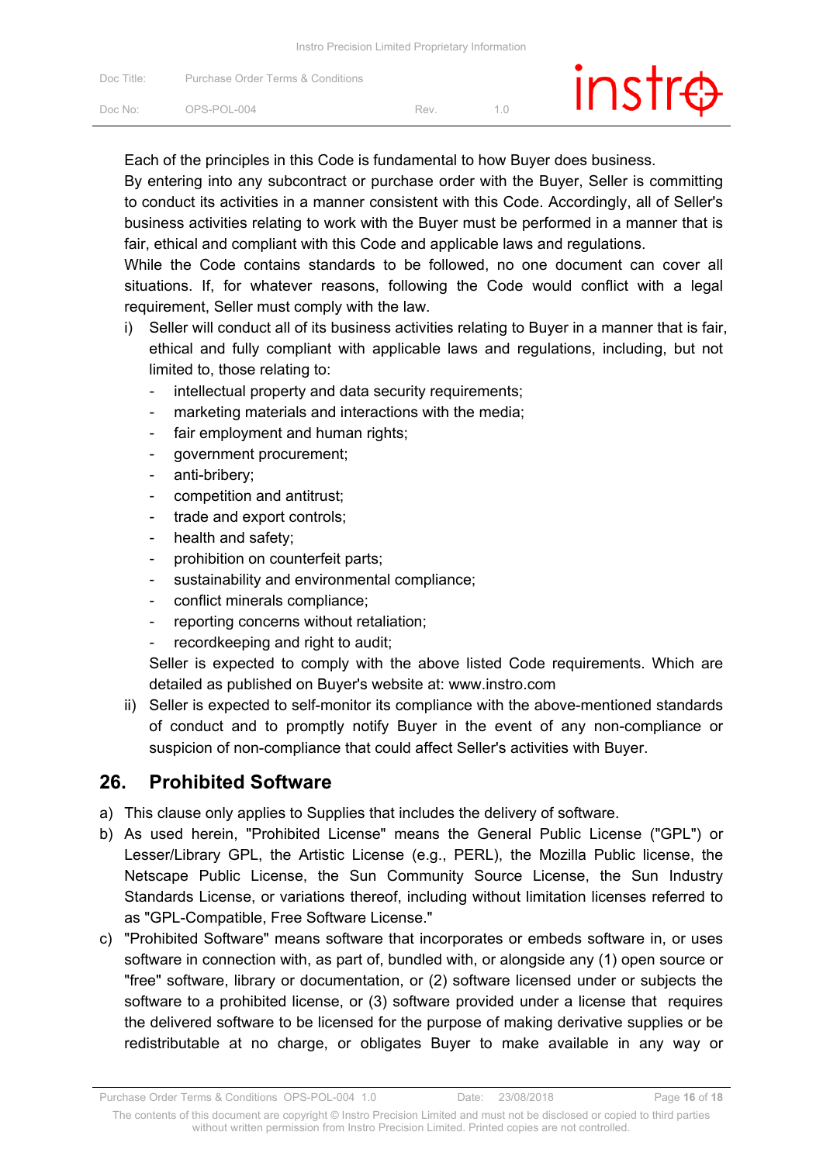| Doc Title: | <b>Purchase Order Terms &amp; Conditions</b> |     | $instr\oplus$ |  |
|------------|----------------------------------------------|-----|---------------|--|
| Doc No:    | OPS-POL-004                                  | Rev |               |  |

Each of the principles in this Code is fundamental to how Buyer does business.

By entering into any subcontract or purchase order with the Buyer, Seller is committing to conduct its activities in a manner consistent with this Code. Accordingly, all of Seller's business activities relating to work with the Buyer must be performed in a manner that is fair, ethical and compliant with this Code and applicable laws and regulations.

While the Code contains standards to be followed, no one document can cover all situations. If, for whatever reasons, following the Code would conflict with a legal requirement, Seller must comply with the law.

- i) Seller will conduct all of its business activities relating to Buyer in a manner that is fair, ethical and fully compliant with applicable laws and regulations, including, but not limited to, those relating to:
	- intellectual property and data security requirements;
	- marketing materials and interactions with the media;
	- fair employment and human rights;
	- government procurement;
	- anti-bribery;
	- competition and antitrust;
	- trade and export controls;
	- health and safety;
	- prohibition on counterfeit parts;
	- sustainability and environmental compliance;
	- conflict minerals compliance;
	- reporting concerns without retaliation;
	- recordkeeping and right to audit;

Seller is expected to comply with the above listed Code requirements. Which are detailed as published on Buyer's website at: www.instro.com

ii) Seller is expected to self-monitor its compliance with the above-mentioned standards of conduct and to promptly notify Buyer in the event of any non-compliance or suspicion of non-compliance that could affect Seller's activities with Buyer.

#### **26. Prohibited Software**

- a) This clause only applies to Supplies that includes the delivery of software.
- b) As used herein, "Prohibited License" means the General Public License ("GPL") or Lesser/Library GPL, the Artistic License (e.g., PERL), the Mozilla Public license, the Netscape Public License, the Sun Community Source License, the Sun Industry Standards License, or variations thereof, including without limitation licenses referred to as "GPL-Compatible, Free Software License."
- c) "Prohibited Software" means software that incorporates or embeds software in, or uses software in connection with, as part of, bundled with, or alongside any (1) open source or "free" software, library or documentation, or (2) software licensed under or subjects the software to a prohibited license, or (3) software provided under a license that requires the delivered software to be licensed for the purpose of making derivative supplies or be redistributable at no charge, or obligates Buyer to make available in any way or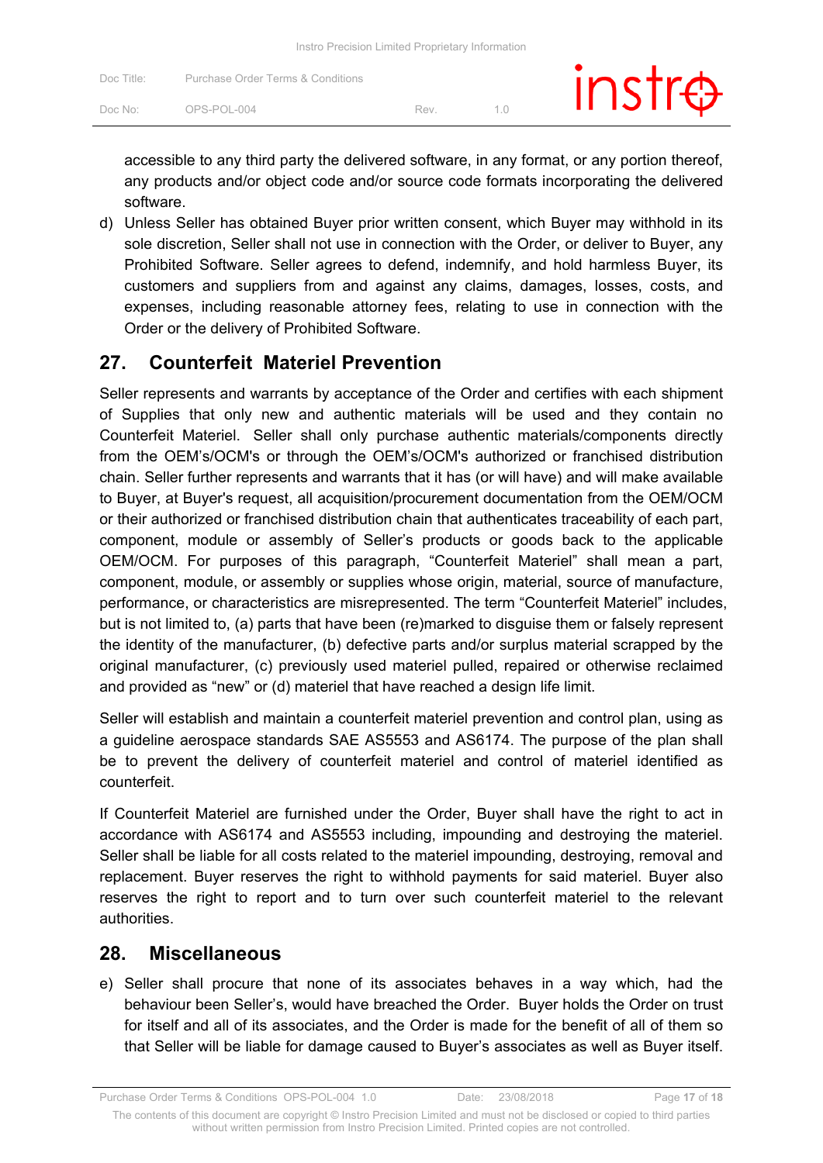| Doc Title: | Purchase Order Terms & Conditions |     | $instr\oplus$ |
|------------|-----------------------------------|-----|---------------|
| Doc No:    | OPS-POL-004                       | Rev |               |

accessible to any third party the delivered software, in any format, or any portion thereof, any products and/or object code and/or source code formats incorporating the delivered software.

d) Unless Seller has obtained Buyer prior written consent, which Buyer may withhold in its sole discretion, Seller shall not use in connection with the Order, or deliver to Buyer, any Prohibited Software. Seller agrees to defend, indemnify, and hold harmless Buyer, its customers and suppliers from and against any claims, damages, losses, costs, and expenses, including reasonable attorney fees, relating to use in connection with the Order or the delivery of Prohibited Software.

### **27. Counterfeit Materiel Prevention**

Seller represents and warrants by acceptance of the Order and certifies with each shipment of Supplies that only new and authentic materials will be used and they contain no Counterfeit Materiel. Seller shall only purchase authentic materials/components directly from the OEM's/OCM's or through the OEM's/OCM's authorized or franchised distribution chain. Seller further represents and warrants that it has (or will have) and will make available to Buyer, at Buyer's request, all acquisition/procurement documentation from the OEM/OCM or their authorized or franchised distribution chain that authenticates traceability of each part, component, module or assembly of Seller's products or goods back to the applicable OEM/OCM. For purposes of this paragraph, "Counterfeit Materiel" shall mean a part, component, module, or assembly or supplies whose origin, material, source of manufacture, performance, or characteristics are misrepresented. The term "Counterfeit Materiel" includes, but is not limited to, (a) parts that have been (re)marked to disguise them or falsely represent the identity of the manufacturer, (b) defective parts and/or surplus material scrapped by the original manufacturer, (c) previously used materiel pulled, repaired or otherwise reclaimed and provided as "new" or (d) materiel that have reached a design life limit.

Seller will establish and maintain a counterfeit materiel prevention and control plan, using as a guideline aerospace standards SAE AS5553 and AS6174. The purpose of the plan shall be to prevent the delivery of counterfeit materiel and control of materiel identified as counterfeit.

If Counterfeit Materiel are furnished under the Order, Buyer shall have the right to act in accordance with AS6174 and AS5553 including, impounding and destroying the materiel. Seller shall be liable for all costs related to the materiel impounding, destroying, removal and replacement. Buyer reserves the right to withhold payments for said materiel. Buyer also reserves the right to report and to turn over such counterfeit materiel to the relevant authorities.

#### **28. Miscellaneous**

e) Seller shall procure that none of its associates behaves in a way which, had the behaviour been Seller's, would have breached the Order. Buyer holds the Order on trust for itself and all of its associates, and the Order is made for the benefit of all of them so that Seller will be liable for damage caused to Buyer's associates as well as Buyer itself.

Purchase Order Terms & Conditions OPS-POL-004 1.0 Date: 23/08/2018 Page **17** of **18**

The contents of this document are copyright © Instro Precision Limited and must not be disclosed or copied to third parties without written permission from Instro Precision Limited. Printed copies are not controlled.